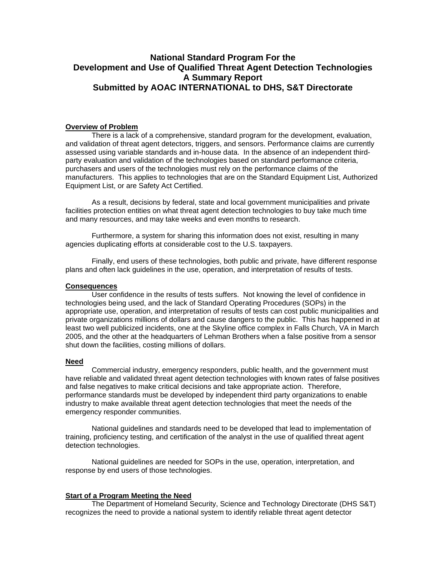# **National Standard Program For the Development and Use of Qualified Threat Agent Detection Technologies A Summary Report Submitted by AOAC INTERNATIONAL to DHS, S&T Directorate**

#### **Overview of Problem**

There is a lack of a comprehensive, standard program for the development, evaluation, and validation of threat agent detectors, triggers, and sensors. Performance claims are currently assessed using variable standards and in-house data. In the absence of an independent thirdparty evaluation and validation of the technologies based on standard performance criteria, purchasers and users of the technologies must rely on the performance claims of the manufacturers. This applies to technologies that are on the Standard Equipment List, Authorized Equipment List, or are Safety Act Certified.

As a result, decisions by federal, state and local government municipalities and private facilities protection entities on what threat agent detection technologies to buy take much time and many resources, and may take weeks and even months to research.

Furthermore, a system for sharing this information does not exist, resulting in many agencies duplicating efforts at considerable cost to the U.S. taxpayers.

Finally, end users of these technologies, both public and private, have different response plans and often lack guidelines in the use, operation, and interpretation of results of tests.

#### **Consequences**

User confidence in the results of tests suffers. Not knowing the level of confidence in technologies being used, and the lack of Standard Operating Procedures (SOPs) in the appropriate use, operation, and interpretation of results of tests can cost public municipalities and private organizations millions of dollars and cause dangers to the public. This has happened in at least two well publicized incidents, one at the Skyline office complex in Falls Church, VA in March 2005, and the other at the headquarters of Lehman Brothers when a false positive from a sensor shut down the facilities, costing millions of dollars.

## **Need**

Commercial industry, emergency responders, public health, and the government must have reliable and validated threat agent detection technologies with known rates of false positives and false negatives to make critical decisions and take appropriate action. Therefore, performance standards must be developed by independent third party organizations to enable industry to make available threat agent detection technologies that meet the needs of the emergency responder communities.

National guidelines and standards need to be developed that lead to implementation of training, proficiency testing, and certification of the analyst in the use of qualified threat agent detection technologies.

National guidelines are needed for SOPs in the use, operation, interpretation, and response by end users of those technologies.

#### **Start of a Program Meeting the Need**

The Department of Homeland Security, Science and Technology Directorate (DHS S&T) recognizes the need to provide a national system to identify reliable threat agent detector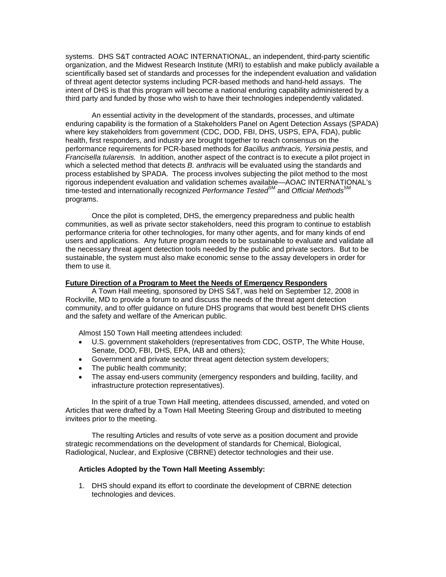systems. DHS S&T contracted AOAC INTERNATIONAL, an independent, third-party scientific organization, and the Midwest Research Institute (MRI) to establish and make publicly available a scientifically based set of standards and processes for the independent evaluation and validation of threat agent detector systems including PCR-based methods and hand-held assays. The intent of DHS is that this program will become a national enduring capability administered by a third party and funded by those who wish to have their technologies independently validated.

An essential activity in the development of the standards, processes, and ultimate enduring capability is the formation of a Stakeholders Panel on Agent Detection Assays (SPADA) where key stakeholders from government (CDC, DOD, FBI, DHS, USPS, EPA, FDA), public health, first responders, and industry are brought together to reach consensus on the performance requirements for PCR-based methods for *Bacillus anthracis, Yersinia pestis,* and *Francisella tularensis.*In addition, another aspect of the contract is to execute a pilot project in which a selected method that detects *B. anthracis* will be evaluated using the standards and process established by SPADA. The process involves subjecting the pilot method to the most rigorous independent evaluation and validation schemes available—AOAC INTERNATIONAL's time-tested and internationally recognized *Performance Tested*<sup>SM</sup> and *Official Methods*<sup>SN</sup> programs.

Once the pilot is completed, DHS, the emergency preparedness and public health communities, as well as private sector stakeholders, need this program to continue to establish performance criteria for other technologies, for many other agents, and for many kinds of end users and applications. Any future program needs to be sustainable to evaluate and validate all the necessary threat agent detection tools needed by the public and private sectors. But to be sustainable, the system must also make economic sense to the assay developers in order for them to use it.

### **Future Direction of a Program to Meet the Needs of Emergency Responders**

A Town Hall meeting, sponsored by DHS S&T, was held on September 12, 2008 in Rockville, MD to provide a forum to and discuss the needs of the threat agent detection community, and to offer guidance on future DHS programs that would best benefit DHS clients and the safety and welfare of the American public.

Almost 150 Town Hall meeting attendees included:

- U.S. government stakeholders (representatives from CDC, OSTP, The White House, Senate, DOD, FBI, DHS, EPA, IAB and others);
- Government and private sector threat agent detection system developers;
- The public health community;
- The assay end-users community (emergency responders and building, facility, and infrastructure protection representatives).

In the spirit of a true Town Hall meeting, attendees discussed, amended, and voted on Articles that were drafted by a Town Hall Meeting Steering Group and distributed to meeting invitees prior to the meeting.

The resulting Articles and results of vote serve as a position document and provide strategic recommendations on the development of standards for Chemical, Biological, Radiological, Nuclear, and Explosive (CBRNE) detector technologies and their use.

## **Articles Adopted by the Town Hall Meeting Assembly:**

1. DHS should expand its effort to coordinate the development of CBRNE detection technologies and devices.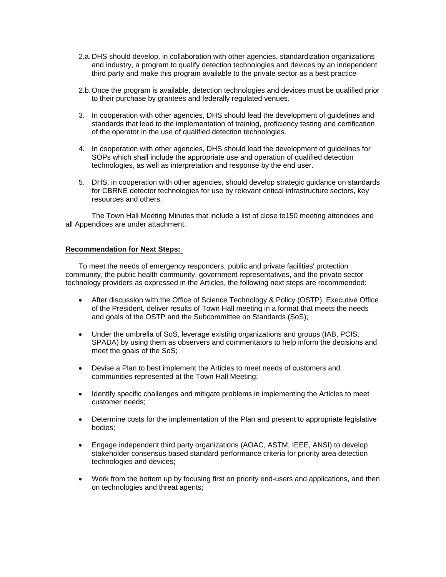- 2.a. DHS should develop, in collaboration with other agencies, standardization organizations and industry, a program to qualify detection technologies and devices by an independent third party and make this program available to the private sector as a best practice
- 2.b. Once the program is available, detection technologies and devices must be qualified prior to their purchase by grantees and federally regulated venues.
- 3. In cooperation with other agencies, DHS should lead the development of guidelines and standards that lead to the implementation of training, proficiency testing and certification of the operator in the use of qualified detection technologies.
- 4. In cooperation with other agencies, DHS should lead the development of guidelines for SOPs which shall include the appropriate use and operation of qualified detection technologies, as well as interpretation and response by the end user.
- 5. DHS, in cooperation with other agencies, should develop strategic guidance on standards for CBRNE detector technologies for use by relevant critical infrastructure sectors, key resources and others.

The Town Hall Meeting Minutes that include a list of close to150 meeting attendees and all Appendices are under attachment.

## **Recommendation for Next Steps:**

To meet the needs of emergency responders, public and private facilities' protection community, the public health community, government representatives, and the private sector technology providers as expressed in the Articles, the following next steps are recommended:

- After discussion with the Office of Science Technology & Policy (OSTP), Executive Office of the President, deliver results of Town Hall meeting in a format that meets the needs and goals of the OSTP and the Subcommittee on Standards (SoS);
- Under the umbrella of SoS, leverage existing organizations and groups (IAB, PCIS, SPADA) by using them as observers and commentators to help inform the decisions and meet the goals of the SoS;
- Devise a Plan to best implement the Articles to meet needs of customers and communities represented at the Town Hall Meeting;
- Identify specific challenges and mitigate problems in implementing the Articles to meet customer needs;
- Determine costs for the implementation of the Plan and present to appropriate legislative bodies;
- Engage independent third party organizations (AOAC, ASTM, IEEE, ANSI) to develop stakeholder consensus based standard performance criteria for priority area detection technologies and devices;
- Work from the bottom up by focusing first on priority end-users and applications, and then on technologies and threat agents;